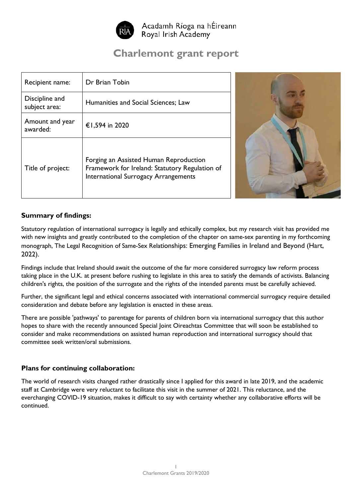

Acadamh Ríoga na hÉireann Royal Irish Academy

# **Charlemont grant report**

| Recipient name:<br>Discipline and            | Dr Brian Tobin<br>Humanities and Social Sciences; Law                                                                            |  |
|----------------------------------------------|----------------------------------------------------------------------------------------------------------------------------------|--|
| subject area:<br>Amount and year<br>awarded: | €1,594 in 2020                                                                                                                   |  |
| Title of project:                            | Forging an Assisted Human Reproduction<br>Framework for Ireland: Statutory Regulation of<br>International Surrogacy Arrangements |  |

# **Summary of findings:**

Statutory regulation of international surrogacy is legally and ethically complex, but my research visit has provided me with new insights and greatly contributed to the completion of the chapter on same-sex parenting in my forthcoming monograph, The Legal Recognition of Same-Sex Relationships: Emerging Families in Ireland and Beyond (Hart, 2022).

Findings include that Ireland should await the outcome of the far more considered surrogacy law reform process taking place in the U.K. at present before rushing to legislate in this area to satisfy the demands of activists. Balancing children's rights, the position of the surrogate and the rights of the intended parents must be carefully achieved.

Further, the significant legal and ethical concerns associated with international commercial surrogacy require detailed consideration and debate before any legislation is enacted in these areas.

There are possible 'pathways' to parentage for parents of children born via international surrogacy that this author hopes to share with the recently announced Special Joint Oireachtas Committee that will soon be established to consider and make recommendations on assisted human reproduction and international surrogacy should that committee seek written/oral submissions.

## **Plans for continuing collaboration:**

The world of research visits changed rather drastically since I applied for this award in late 2019, and the academic staff at Cambridge were very reluctant to facilitate this visit in the summer of 2021. This reluctance, and the everchanging COVID-19 situation, makes it difficult to say with certainty whether any collaborative efforts will be continued.